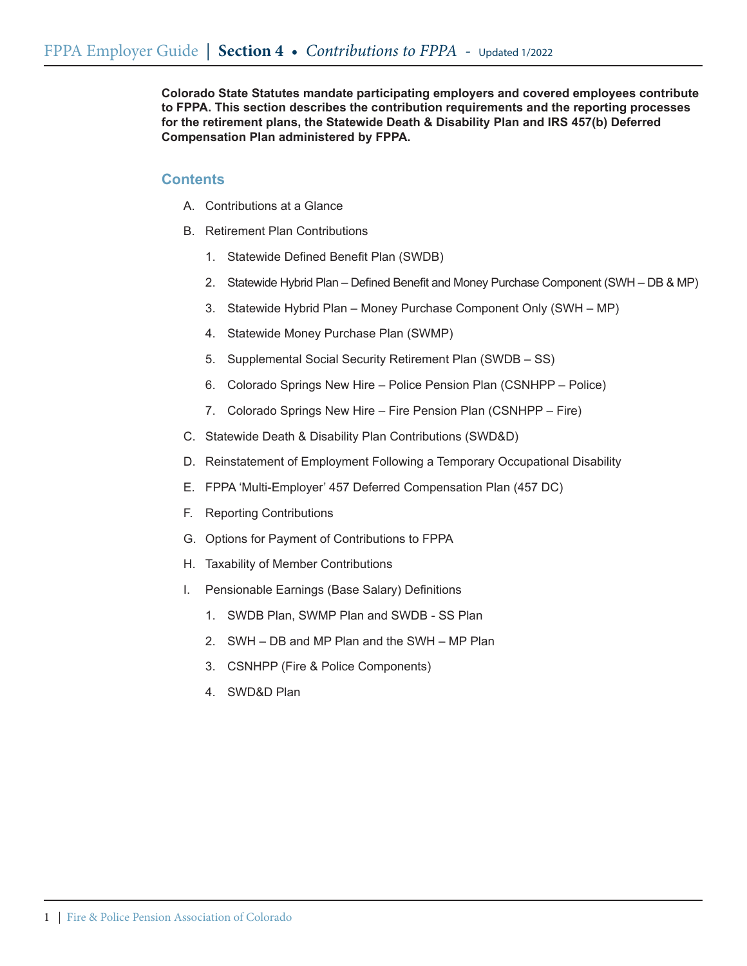**Colorado State Statutes mandate participating employers and covered employees contribute to FPPA. This section describes the contribution requirements and the reporting processes for the retirement plans, the Statewide Death & Disability Plan and IRS 457(b) Deferred Compensation Plan administered by FPPA.** 

# **Contents**

- A. Contributions at a Glance
- B. Retirement Plan Contributions
	- 1. Statewide Defined Benefit Plan (SWDB)
	- 2. Statewide Hybrid Plan Defined Benefit and Money Purchase Component (SWH DB & MP)
	- 3. Statewide Hybrid Plan Money Purchase Component Only (SWH MP)
	- 4. Statewide Money Purchase Plan (SWMP)
	- 5. Supplemental Social Security Retirement Plan (SWDB SS)
	- 6. Colorado Springs New Hire Police Pension Plan (CSNHPP Police)
	- 7. Colorado Springs New Hire Fire Pension Plan (CSNHPP Fire)
- C. Statewide Death & Disability Plan Contributions (SWD&D)
- D. Reinstatement of Employment Following a Temporary Occupational Disability
- E. FPPA 'Multi-Employer' 457 Deferred Compensation Plan (457 DC)
- F. Reporting Contributions
- G. Options for Payment of Contributions to FPPA
- H. Taxability of Member Contributions
- I. Pensionable Earnings (Base Salary) Definitions
	- 1. SWDB Plan, SWMP Plan and SWDB SS Plan
	- 2. SWH DB and MP Plan and the SWH MP Plan
	- 3. CSNHPP (Fire & Police Components)
	- 4. SWD&D Plan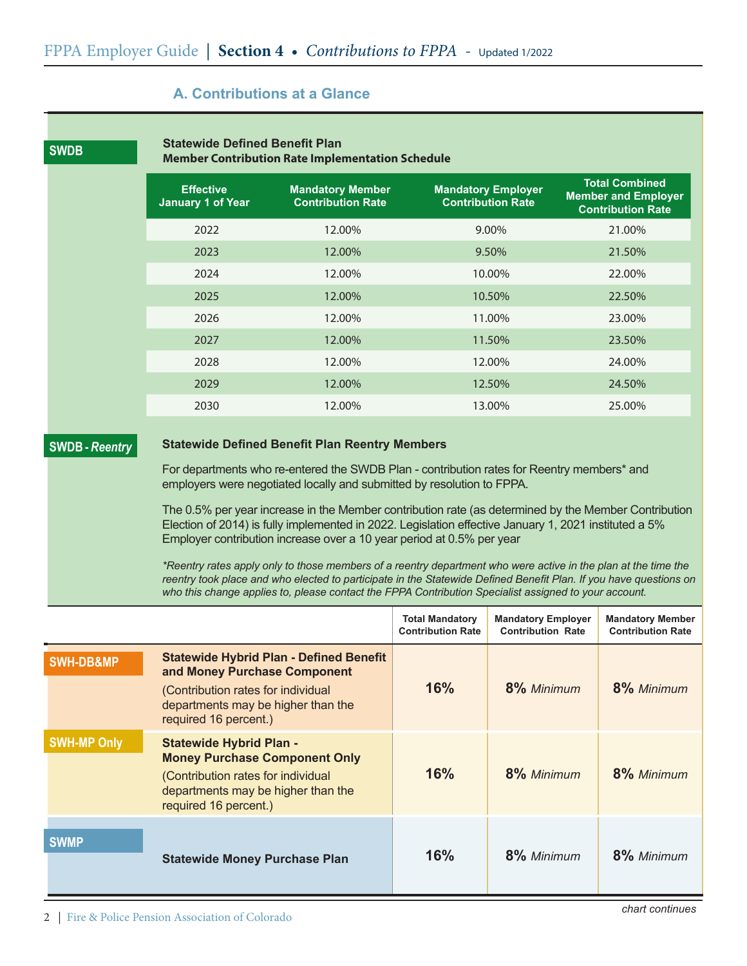# **A. Contributions at a Glance**

|                       | <b>Member Contribution Rate Implementation Schedule</b><br><b>Total Combined</b>                                                                                                                                                                                                                                                             |                                                                                                                                                                                                                                                                                        |                                                       |                                                        |  |  |  |
|-----------------------|----------------------------------------------------------------------------------------------------------------------------------------------------------------------------------------------------------------------------------------------------------------------------------------------------------------------------------------------|----------------------------------------------------------------------------------------------------------------------------------------------------------------------------------------------------------------------------------------------------------------------------------------|-------------------------------------------------------|--------------------------------------------------------|--|--|--|
|                       | <b>Effective</b><br><b>January 1 of Year</b>                                                                                                                                                                                                                                                                                                 | <b>Mandatory Member</b><br><b>Contribution Rate</b>                                                                                                                                                                                                                                    | <b>Mandatory Employer</b><br><b>Contribution Rate</b> | <b>Member and Employer</b><br><b>Contribution Rate</b> |  |  |  |
|                       | 2022                                                                                                                                                                                                                                                                                                                                         | 12.00%                                                                                                                                                                                                                                                                                 | 9.00%                                                 | 21.00%                                                 |  |  |  |
|                       | 2023                                                                                                                                                                                                                                                                                                                                         | 12.00%                                                                                                                                                                                                                                                                                 | 9.50%                                                 | 21.50%                                                 |  |  |  |
|                       | 2024                                                                                                                                                                                                                                                                                                                                         | 12.00%                                                                                                                                                                                                                                                                                 | 10.00%                                                | 22.00%                                                 |  |  |  |
|                       | 2025                                                                                                                                                                                                                                                                                                                                         | 12.00%                                                                                                                                                                                                                                                                                 | 10.50%                                                | 22.50%                                                 |  |  |  |
|                       | 2026                                                                                                                                                                                                                                                                                                                                         | 12.00%                                                                                                                                                                                                                                                                                 | 11.00%                                                | 23.00%                                                 |  |  |  |
|                       | 2027                                                                                                                                                                                                                                                                                                                                         | 12.00%                                                                                                                                                                                                                                                                                 | 11.50%                                                | 23.50%                                                 |  |  |  |
|                       | 2028                                                                                                                                                                                                                                                                                                                                         | 12.00%                                                                                                                                                                                                                                                                                 | 12.00%                                                | 24.00%                                                 |  |  |  |
|                       | 2029                                                                                                                                                                                                                                                                                                                                         | 12.00%                                                                                                                                                                                                                                                                                 | 12.50%                                                | 24.50%                                                 |  |  |  |
|                       | 2030                                                                                                                                                                                                                                                                                                                                         | 12.00%                                                                                                                                                                                                                                                                                 | 13.00%                                                | 25.00%                                                 |  |  |  |
| <b>SWDB</b> - Reentry | <b>Statewide Defined Benefit Plan Reentry Members</b>                                                                                                                                                                                                                                                                                        |                                                                                                                                                                                                                                                                                        |                                                       |                                                        |  |  |  |
|                       | For departments who re-entered the SWDB Plan - contribution rates for Reentry members* and<br>employers were negotiated locally and submitted by resolution to FPPA.                                                                                                                                                                         |                                                                                                                                                                                                                                                                                        |                                                       |                                                        |  |  |  |
|                       |                                                                                                                                                                                                                                                                                                                                              | The 0.5% per year increase in the Member contribution rate (as determined by the Member Contribution<br>Election of 2014) is fully implemented in 2022. Legislation effective January 1, 2021 instituted a 5%<br>Employer contribution increase over a 10 year period at 0.5% per year |                                                       |                                                        |  |  |  |
|                       | *Reentry rates apply only to those members of a reentry department who were active in the plan at the time the<br>reentry took place and who elected to participate in the Statewide Defined Benefit Plan. If you have questions on<br>who this change applies to, please contact the FPPA Contribution Specialist assigned to your account. |                                                                                                                                                                                                                                                                                        |                                                       |                                                        |  |  |  |

|                      |                                                                                                                                                                                     | <b>Total Mandatory</b><br><b>Contribution Rate</b> | <b>Mandatory Employer</b><br><b>Contribution Rate</b> | <b>Mandatory Member</b><br><b>Contribution Rate</b> |
|----------------------|-------------------------------------------------------------------------------------------------------------------------------------------------------------------------------------|----------------------------------------------------|-------------------------------------------------------|-----------------------------------------------------|
| <b>SWH-DB&amp;MP</b> | <b>Statewide Hybrid Plan - Defined Benefit</b><br>and Money Purchase Component<br>(Contribution rates for individual<br>departments may be higher than the<br>required 16 percent.) | 16%                                                | 8% Minimum                                            | 8% Minimum                                          |
| <b>SWH-MP Only</b>   | <b>Statewide Hybrid Plan -</b><br><b>Money Purchase Component Only</b><br>(Contribution rates for individual<br>departments may be higher than the<br>required 16 percent.)         | 16%                                                | 8% Minimum                                            | 8% Minimum                                          |
| <b>SWMP</b>          | <b>Statewide Money Purchase Plan</b>                                                                                                                                                | 16%                                                | 8% Minimum                                            | 8% Minimum                                          |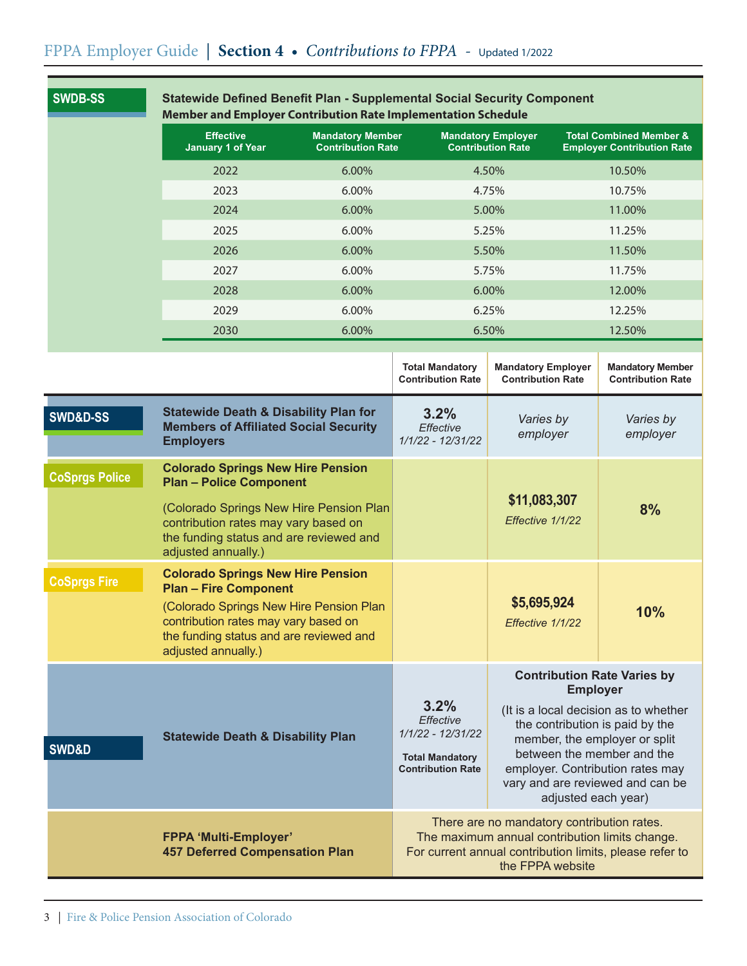| <b>SWDB-SS</b>        | <b>Statewide Defined Benefit Plan - Supplemental Social Security Component</b><br>Member and Employer Contribution Rate Implementation Schedule                                                                               |                |                                                                                                                                                                             |                                                                                                                                                                                                                                                                                                 |                                                                         |  |
|-----------------------|-------------------------------------------------------------------------------------------------------------------------------------------------------------------------------------------------------------------------------|----------------|-----------------------------------------------------------------------------------------------------------------------------------------------------------------------------|-------------------------------------------------------------------------------------------------------------------------------------------------------------------------------------------------------------------------------------------------------------------------------------------------|-------------------------------------------------------------------------|--|
|                       | <b>Effective</b><br><b>Mandatory Member</b><br><b>January 1 of Year</b><br><b>Contribution Rate</b>                                                                                                                           |                |                                                                                                                                                                             | <b>Mandatory Employer</b><br><b>Contribution Rate</b>                                                                                                                                                                                                                                           | <b>Total Combined Member &amp;</b><br><b>Employer Contribution Rate</b> |  |
|                       | 2022<br>6.00%                                                                                                                                                                                                                 |                |                                                                                                                                                                             | 4.50%                                                                                                                                                                                                                                                                                           | 10.50%                                                                  |  |
|                       | 2023<br>6.00%                                                                                                                                                                                                                 |                |                                                                                                                                                                             | 4.75%                                                                                                                                                                                                                                                                                           | 10.75%                                                                  |  |
|                       | 2024<br>6.00%                                                                                                                                                                                                                 |                |                                                                                                                                                                             | 5.00%                                                                                                                                                                                                                                                                                           | 11.00%                                                                  |  |
|                       | 2025<br>6.00%                                                                                                                                                                                                                 |                |                                                                                                                                                                             | 5.25%                                                                                                                                                                                                                                                                                           | 11.25%                                                                  |  |
|                       | 2026<br>6.00%                                                                                                                                                                                                                 |                |                                                                                                                                                                             | 5.50%                                                                                                                                                                                                                                                                                           | 11.50%                                                                  |  |
|                       | 2027                                                                                                                                                                                                                          | 6.00%<br>5.75% |                                                                                                                                                                             | 11.75%                                                                                                                                                                                                                                                                                          |                                                                         |  |
|                       | 2028                                                                                                                                                                                                                          | 6.00%          |                                                                                                                                                                             | 6.00%                                                                                                                                                                                                                                                                                           | 12.00%                                                                  |  |
|                       | 2029                                                                                                                                                                                                                          | 6.00%          |                                                                                                                                                                             | 6.25%                                                                                                                                                                                                                                                                                           | 12.25%                                                                  |  |
|                       | 2030                                                                                                                                                                                                                          | 6.00%          |                                                                                                                                                                             | 6.50%                                                                                                                                                                                                                                                                                           | 12.50%                                                                  |  |
|                       |                                                                                                                                                                                                                               |                | <b>Total Mandatory</b><br><b>Contribution Rate</b>                                                                                                                          | <b>Mandatory Employer</b><br><b>Contribution Rate</b>                                                                                                                                                                                                                                           | <b>Mandatory Member</b><br><b>Contribution Rate</b>                     |  |
| <b>SWD&amp;D-SS</b>   | <b>Statewide Death &amp; Disability Plan for</b><br><b>Members of Affiliated Social Security</b><br><b>Employers</b>                                                                                                          |                | 3.2%<br>Effective<br>1/1/22 - 12/31/22                                                                                                                                      | Varies by<br>employer                                                                                                                                                                                                                                                                           | Varies by<br>employer                                                   |  |
| <b>CoSprgs Police</b> | <b>Colorado Springs New Hire Pension</b><br><b>Plan - Police Component</b>                                                                                                                                                    |                |                                                                                                                                                                             |                                                                                                                                                                                                                                                                                                 |                                                                         |  |
|                       | (Colorado Springs New Hire Pension Plan<br>contribution rates may vary based on<br>the funding status and are reviewed and<br>adjusted annually.)                                                                             |                |                                                                                                                                                                             | \$11,083,307<br>Effective 1/1/22                                                                                                                                                                                                                                                                | 8%                                                                      |  |
| <b>CoSprgs Fire</b>   | <b>Colorado Springs New Hire Pension</b><br><b>Plan - Fire Component</b><br>(Colorado Springs New Hire Pension Plan<br>contribution rates may vary based on<br>the funding status and are reviewed and<br>adjusted annually.) |                |                                                                                                                                                                             | \$5,695,924<br>Effective 1/1/22                                                                                                                                                                                                                                                                 | 10%                                                                     |  |
| SWD&D                 | <b>Statewide Death &amp; Disability Plan</b>                                                                                                                                                                                  |                | 3.2%<br>Effective<br>1/1/22 - 12/31/22<br><b>Total Mandatory</b><br><b>Contribution Rate</b>                                                                                | <b>Contribution Rate Varies by</b><br><b>Employer</b><br>(It is a local decision as to whether<br>the contribution is paid by the<br>member, the employer or split<br>between the member and the<br>employer. Contribution rates may<br>vary and are reviewed and can be<br>adjusted each year) |                                                                         |  |
|                       | <b>FPPA 'Multi-Employer'</b><br><b>457 Deferred Compensation Plan</b>                                                                                                                                                         |                | There are no mandatory contribution rates.<br>The maximum annual contribution limits change.<br>For current annual contribution limits, please refer to<br>the FPPA website |                                                                                                                                                                                                                                                                                                 |                                                                         |  |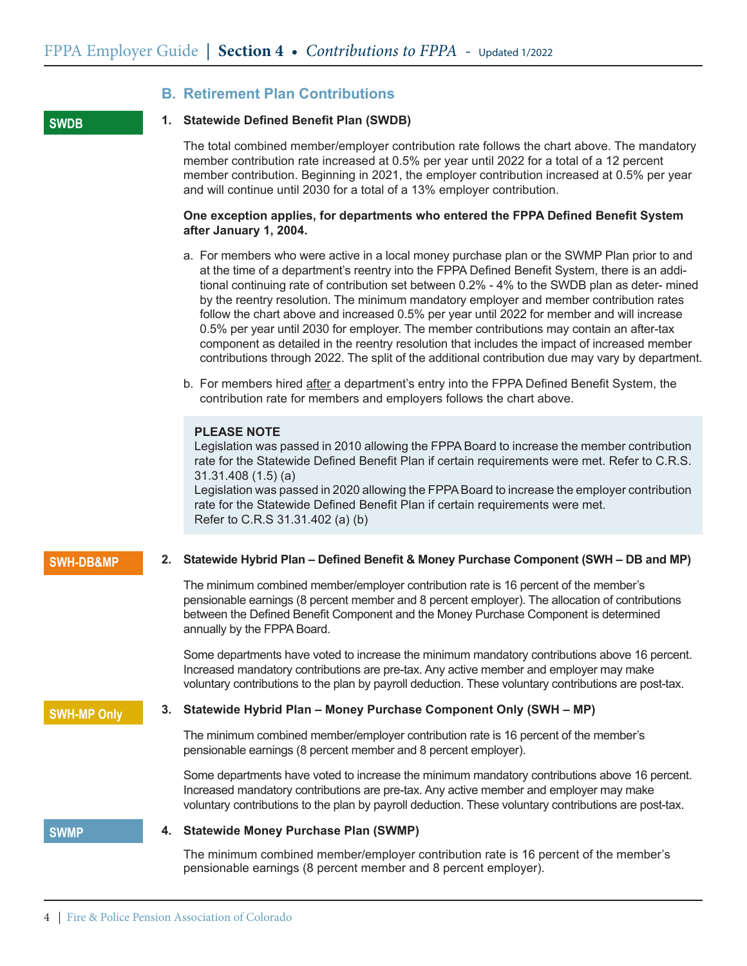### **B. Retirement Plan Contributions**

#### **SWDB**

#### **1. Statewide Defined Benefit Plan (SWDB)**

The total combined member/employer contribution rate follows the chart above. The mandatory member contribution rate increased at 0.5% per year until 2022 for a total of a 12 percent member contribution. Beginning in 2021, the employer contribution increased at 0.5% per year and will continue until 2030 for a total of a 13% employer contribution.

### **One exception applies, for departments who entered the FPPA Defined Benefit System after January 1, 2004.**

- a. For members who were active in a local money purchase plan or the SWMP Plan prior to and at the time of a department's reentry into the FPPA Defined Benefit System, there is an additional continuing rate of contribution set between 0.2% - 4% to the SWDB plan as deter- mined by the reentry resolution. The minimum mandatory employer and member contribution rates follow the chart above and increased 0.5% per year until 2022 for member and will increase 0.5% per year until 2030 for employer. The member contributions may contain an after-tax component as detailed in the reentry resolution that includes the impact of increased member contributions through 2022. The split of the additional contribution due may vary by department.
- b. For members hired after a department's entry into the FPPA Defined Benefit System, the contribution rate for members and employers follows the chart above.

#### **PLEASE NOTE**

Legislation was passed in 2010 allowing the FPPA Board to increase the member contribution rate for the Statewide Defined Benefit Plan if certain requirements were met. Refer to C.R.S. 31.31.408 (1.5) (a)

Legislation was passed in 2020 allowing the FPPABoard to increase the employer contribution rate for the Statewide Defined Benefit Plan if certain requirements were met. Refer to C.R.S 31.31.402 (a) (b)

#### **SWH-DB&MP**

#### **2. Statewide Hybrid Plan – Defined Benefit & Money Purchase Component (SWH – DB and MP)**

The minimum combined member/employer contribution rate is 16 percent of the member's pensionable earnings (8 percent member and 8 percent employer). The allocation of contributions between the Defined Benefit Component and the Money Purchase Component is determined annually by the FPPA Board.

Some departments have voted to increase the minimum mandatory contributions above 16 percent. Increased mandatory contributions are pre-tax. Any active member and employer may make voluntary contributions to the plan by payroll deduction. These voluntary contributions are post-tax.

#### **SWH-MP Only**

### **3. Statewide Hybrid Plan – Money Purchase Component Only (SWH – MP)**

The minimum combined member/employer contribution rate is 16 percent of the member's pensionable earnings (8 percent member and 8 percent employer).

Some departments have voted to increase the minimum mandatory contributions above 16 percent. Increased mandatory contributions are pre-tax. Any active member and employer may make voluntary contributions to the plan by payroll deduction. These voluntary contributions are post-tax.

#### **SWMP**

#### **4. Statewide Money Purchase Plan (SWMP)**

The minimum combined member/employer contribution rate is 16 percent of the member's pensionable earnings (8 percent member and 8 percent employer).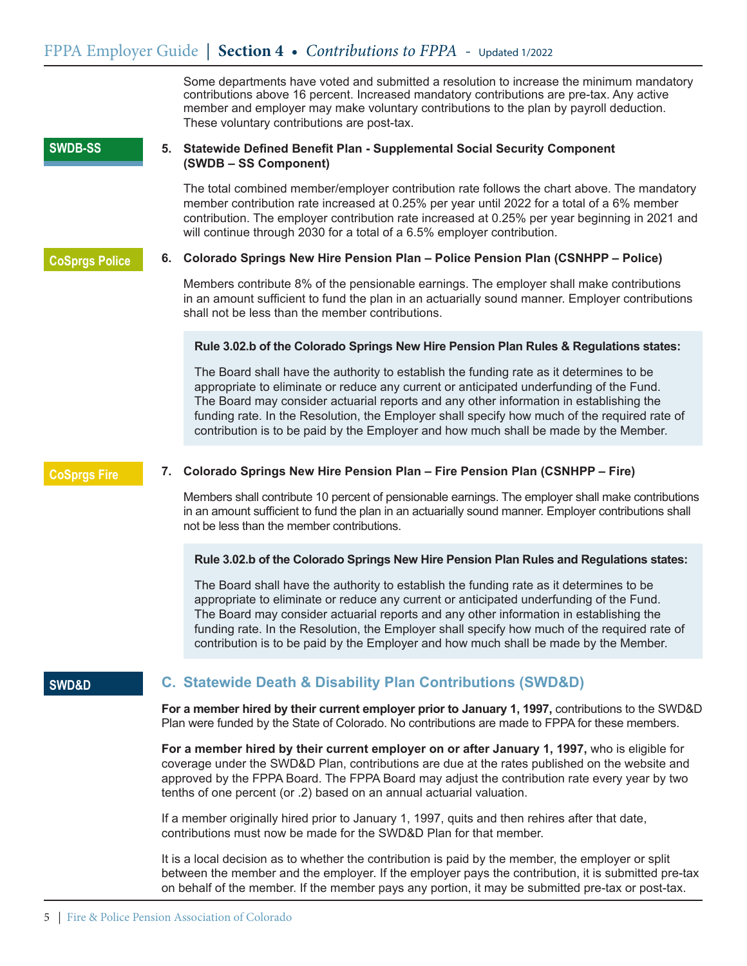Some departments have voted and submitted a resolution to increase the minimum mandatory contributions above 16 percent. Increased mandatory contributions are pre-tax. Any active member and employer may make voluntary contributions to the plan by payroll deduction. These voluntary contributions are post-tax.

#### **SWDB-SS**

### **5. Statewide Defined Benefit Plan - Supplemental Social Security Component (SWDB – SS Component)**

The total combined member/employer contribution rate follows the chart above. The mandatory member contribution rate increased at 0.25% per year until 2022 for a total of a 6% member contribution. The employer contribution rate increased at 0.25% per year beginning in 2021 and will continue through 2030 for a total of a 6.5% employer contribution.

### **CoSprgs Police**

### **6. Colorado Springs New Hire Pension Plan – Police Pension Plan (CSNHPP – Police)**

 Members contribute 8% of the pensionable earnings. The employer shall make contributions in an amount sufficient to fund the plan in an actuarially sound manner. Employer contributions shall not be less than the member contributions.

### **Rule 3.02.b of the Colorado Springs New Hire Pension Plan Rules & Regulations states:**

The Board shall have the authority to establish the funding rate as it determines to be appropriate to eliminate or reduce any current or anticipated underfunding of the Fund. The Board may consider actuarial reports and any other information in establishing the funding rate. In the Resolution, the Employer shall specify how much of the required rate of contribution is to be paid by the Employer and how much shall be made by the Member.

## **CoSprgs Fire**

### **7. Colorado Springs New Hire Pension Plan – Fire Pension Plan (CSNHPP – Fire)**

 Members shall contribute 10 percent of pensionable earnings. The employer shall make contributions in an amount sufficient to fund the plan in an actuarially sound manner. Employer contributions shall not be less than the member contributions.

### **Rule 3.02.b of the Colorado Springs New Hire Pension Plan Rules and Regulations states:**

 The Board shall have the authority to establish the funding rate as it determines to be appropriate to eliminate or reduce any current or anticipated underfunding of the Fund. The Board may consider actuarial reports and any other information in establishing the funding rate. In the Resolution, the Employer shall specify how much of the required rate of contribution is to be paid by the Employer and how much shall be made by the Member.

## **SWD&D**

# **C. Statewide Death & Disability Plan Contributions (SWD&D)**

**For a member hired by their current employer prior to January 1, 1997,** contributions to the SWD&D Plan were funded by the State of Colorado. No contributions are made to FPPA for these members.

**For a member hired by their current employer on or after January 1, 1997,** who is eligible for coverage under the SWD&D Plan, contributions are due at the rates published on the website and approved by the FPPA Board. The FPPA Board may adjust the contribution rate every year by two tenths of one percent (or .2) based on an annual actuarial valuation.

If a member originally hired prior to January 1, 1997, quits and then rehires after that date, contributions must now be made for the SWD&D Plan for that member.

It is a local decision as to whether the contribution is paid by the member, the employer or split between the member and the employer. If the employer pays the contribution, it is submitted pre-tax on behalf of the member. If the member pays any portion, it may be submitted pre-tax or post-tax.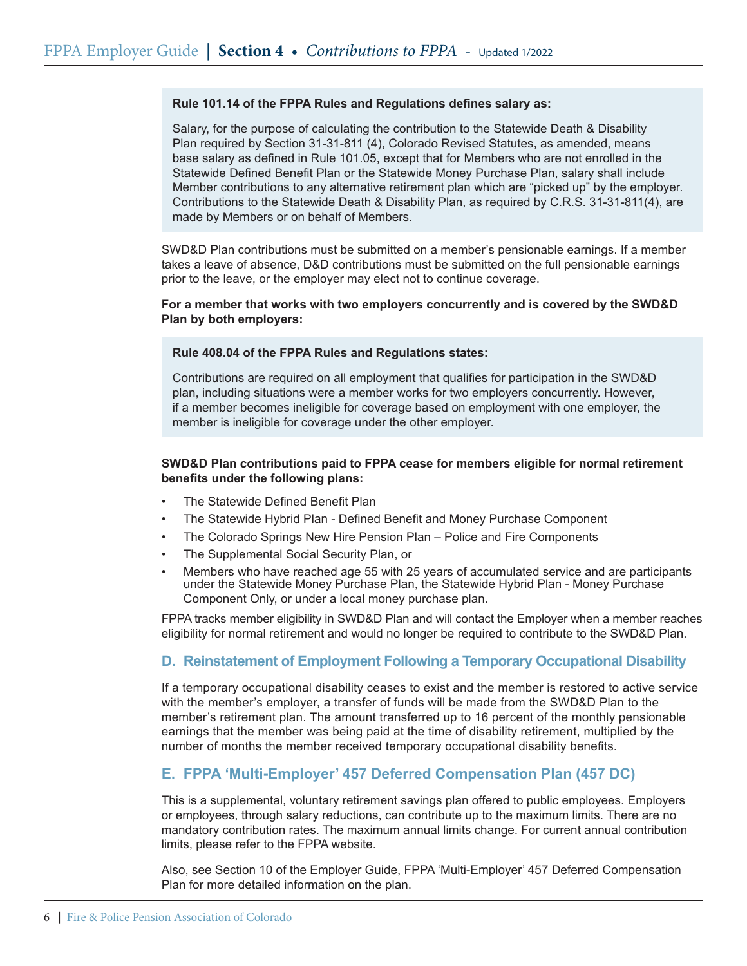### **Rule 101.14 of the FPPA Rules and Regulations defines salary as:**

Salary, for the purpose of calculating the contribution to the Statewide Death & Disability Plan required by Section 31-31-811 (4), Colorado Revised Statutes, as amended, means base salary as defined in Rule 101.05, except that for Members who are not enrolled in the Statewide Defined Benefit Plan or the Statewide Money Purchase Plan, salary shall include Member contributions to any alternative retirement plan which are "picked up" by the employer. Contributions to the Statewide Death & Disability Plan, as required by C.R.S. 31-31-811(4), are made by Members or on behalf of Members.

 SWD&D Plan contributions must be submitted on a member's pensionable earnings. If a member takes a leave of absence, D&D contributions must be submitted on the full pensionable earnings prior to the leave, or the employer may elect not to continue coverage.

### **For a member that works with two employers concurrently and is covered by the SWD&D Plan by both employers:**

#### **Rule 408.04 of the FPPA Rules and Regulations states:**

 Contributions are required on all employment that qualifies for participation in the SWD&D plan, including situations were a member works for two employers concurrently. However, if a member becomes ineligible for coverage based on employment with one employer, the member is ineligible for coverage under the other employer.

### **SWD&D Plan contributions paid to FPPA cease for members eligible for normal retirement benefits under the following plans:**

- The Statewide Defined Benefit Plan
- The Statewide Hybrid Plan Defined Benefit and Money Purchase Component
- The Colorado Springs New Hire Pension Plan Police and Fire Components
- The Supplemental Social Security Plan, or
- Members who have reached age 55 with 25 years of accumulated service and are participants under the Statewide Money Purchase Plan, the Statewide Hybrid Plan - Money Purchase Component Only, or under a local money purchase plan.

FPPA tracks member eligibility in SWD&D Plan and will contact the Employer when a member reaches eligibility for normal retirement and would no longer be required to contribute to the SWD&D Plan.

## **D. Reinstatement of Employment Following a Temporary Occupational Disability**

If a temporary occupational disability ceases to exist and the member is restored to active service with the member's employer, a transfer of funds will be made from the SWD&D Plan to the member's retirement plan. The amount transferred up to 16 percent of the monthly pensionable earnings that the member was being paid at the time of disability retirement, multiplied by the number of months the member received temporary occupational disability benefits.

## **E. FPPA 'Multi-Employer' 457 Deferred Compensation Plan (457 DC)**

This is a supplemental, voluntary retirement savings plan offered to public employees. Employers or employees, through salary reductions, can contribute up to the maximum limits. There are no mandatory contribution rates. The maximum annual limits change. For current annual contribution limits, please refer to the FPPA website.

Also, see Section 10 of the Employer Guide, FPPA 'Multi-Employer' 457 Deferred Compensation Plan for more detailed information on the plan.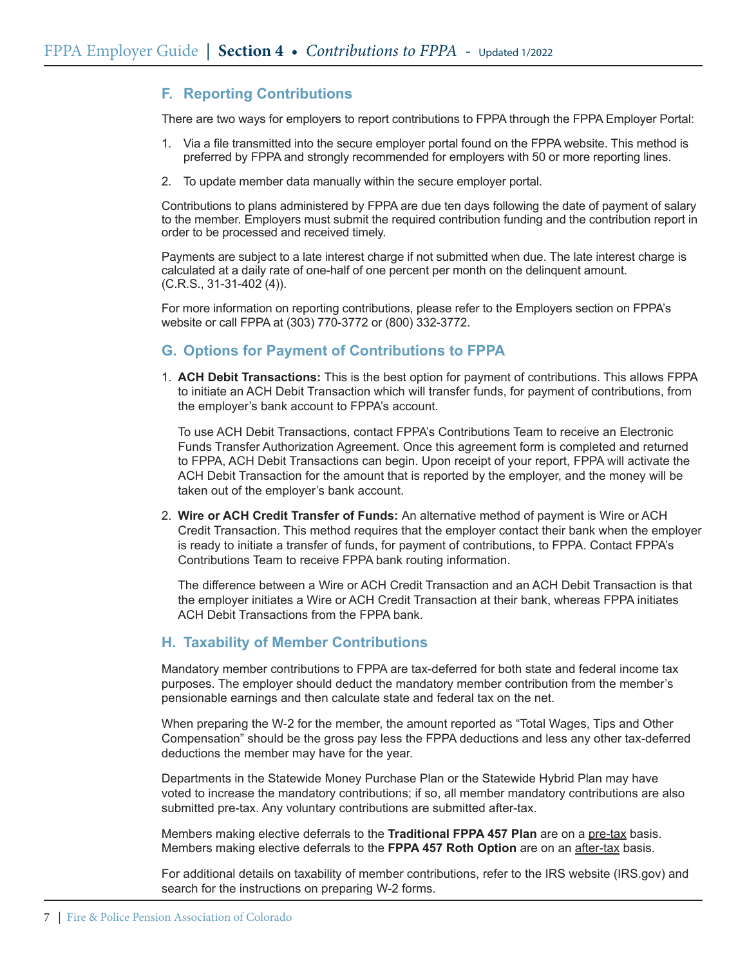# **F. Reporting Contributions**

There are two ways for employers to report contributions to FPPA through the FPPA Employer Portal:

- 1. Via a file transmitted into the secure employer portal found on the FPPA website. This method is preferred by FPPA and strongly recommended for employers with 50 or more reporting lines.
- 2. To update member data manually within the secure employer portal.

Contributions to plans administered by FPPA are due ten days following the date of payment of salary to the member. Employers must submit the required contribution funding and the contribution report in order to be processed and received timely.

Payments are subject to a late interest charge if not submitted when due. The late interest charge is calculated at a daily rate of one-half of one percent per month on the delinquent amount. (C.R.S., 31-31-402 (4)).

For more information on reporting contributions, please refer to the Employers section on FPPA's website or call FPPA at (303) 770-3772 or (800) 332-3772.

# **G. Options for Payment of Contributions to FPPA**

1. **ACH Debit Transactions:** This is the best option for payment of contributions. This allows FPPA to initiate an ACH Debit Transaction which will transfer funds, for payment of contributions, from the employer's bank account to FPPA's account.

To use ACH Debit Transactions, contact FPPA's Contributions Team to receive an Electronic Funds Transfer Authorization Agreement. Once this agreement form is completed and returned to FPPA, ACH Debit Transactions can begin. Upon receipt of your report, FPPA will activate the ACH Debit Transaction for the amount that is reported by the employer, and the money will be taken out of the employer's bank account.

2. **Wire or ACH Credit Transfer of Funds:** An alternative method of payment is Wire or ACH Credit Transaction. This method requires that the employer contact their bank when the employer is ready to initiate a transfer of funds, for payment of contributions, to FPPA. Contact FPPA's Contributions Team to receive FPPA bank routing information.

The difference between a Wire or ACH Credit Transaction and an ACH Debit Transaction is that the employer initiates a Wire or ACH Credit Transaction at their bank, whereas FPPA initiates ACH Debit Transactions from the FPPA bank.

## **H. Taxability of Member Contributions**

Mandatory member contributions to FPPA are tax-deferred for both state and federal income tax purposes. The employer should deduct the mandatory member contribution from the member's pensionable earnings and then calculate state and federal tax on the net.

When preparing the W-2 for the member, the amount reported as "Total Wages, Tips and Other Compensation" should be the gross pay less the FPPA deductions and less any other tax-deferred deductions the member may have for the year.

Departments in the Statewide Money Purchase Plan or the Statewide Hybrid Plan may have voted to increase the mandatory contributions; if so, all member mandatory contributions are also submitted pre-tax. Any voluntary contributions are submitted after-tax.

Members making elective deferrals to the **Traditional FPPA 457 Plan** are on a pre-tax basis. Members making elective deferrals to the **FPPA 457 Roth Option** are on an after-tax basis.

For additional details on taxability of member contributions, refer to the IRS website (IRS.gov) and search for the instructions on preparing W-2 forms.